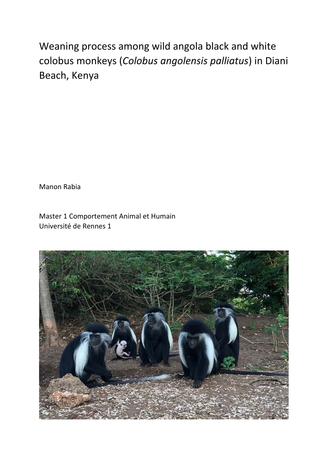Weaning process among wild angola black and white colobus monkeys (*Colobus angolensis palliatus*) in Diani Beach, Kenya

Manon Rabia

Master 1 Comportement Animal et Humain Université de Rennes 1

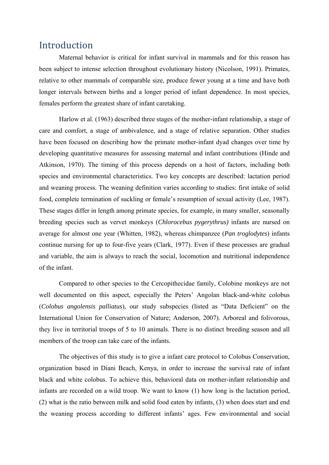# Introduction

Maternal behavior is critical for infant survival in mammals and for this reason has been subject to intense selection throughout evolutionary history (Nicolson, 1991). Primates, relative to other mammals of comparable size, produce fewer young at a time and have both longer intervals between births and a longer period of infant dependence. In most species, females perform the greatest share of infant caretaking.

Harlow et al. (1963) described three stages of the mother-infant relationship, a stage of care and comfort, a stage of ambivalence, and a stage of relative separation. Other studies have been focused on describing how the primate mother-infant dyad changes over time by developing quantitative measures for assessing maternal and infant contributions (Hinde and Atkinson, 1970). The timing of this process depends on a host of factors, including both species and environmental characteristics. Two key concepts are described: lactation period and weaning process. The weaning definition varies according to studies: first intake of solid food, complete termination of suckling or female's resumption of sexual activity (Lee, 1987). These stages differ in length among primate species, for example, in many smaller, seasonally breeding species such as vervet monkeys (*Chlorocebus pygerythrus)* infants are nursed on average for almost one year (Whitten, 1982), whereas chimpanzee (*Pan troglodytes*) infants continue nursing for up to four-five years (Clark, 1977). Even if these processes are gradual and variable, the aim is always to reach the social, locomotion and nutritional independence of the infant.

Compared to other species to the Cercopithecidae family, Colobine monkeys are not well documented on this aspect, especially the Peters' Angolan black-and-white colobus (*Colobus angolensis palliatus*), our study subspecies (listed as "Data Deficient" on the International Union for Conservation of Nature; Anderson, 2007). Arboreal and folivorous, they live in territorial troops of 5 to 10 animals. There is no distinct breeding season and all members of the troop can take care of the infants.

The objectives of this study is to give a infant care protocol to Colobus Conservation, organization based in Diani Beach, Kenya, in order to increase the survival rate of infant black and white colobus. To achieve this, behavioral data on mother-infant relationship and infants are recorded on a wild troop. We want to know (1) how long is the lactation period, (2) what is the ratio between milk and solid food eaten by infants, (3) when does start and end the weaning process according to different infants' ages. Few environmental and social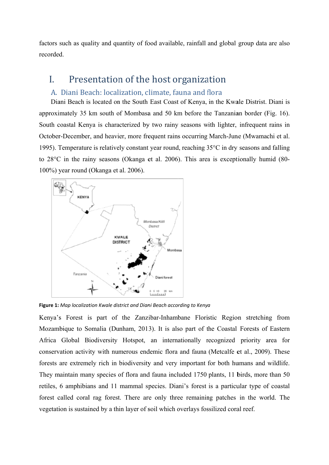factors such as quality and quantity of food available, rainfall and global group data are also recorded.

#### Presentation of the host organization L

### A. Diani Beach: localization, climate, fauna and flora

Diani Beach is located on the South East Coast of Kenya, in the Kwale Distrist. Diani is approximately 35 km south of Mombasa and 50 km before the Tanzanian border (Fig. 16). South coastal Kenya is characterized by two rainy seasons with lighter, infrequent rains in October-December, and heavier, more frequent rains occurring March-June (Mwamachi et al. 1995). Temperature is relatively constant year round, reaching  $35^{\circ}$ C in dry seasons and falling to  $28^{\circ}$ C in the rainy seasons (Okanga et al. 2006). This area is exceptionally humid (80-100%) year round (Okanga et al. 2006).



Figure 1: Map localization Kwale district and Diani Beach according to Kenya

Kenya's Forest is part of the Zanzibar-Inhambane Floristic Region stretching from Mozambique to Somalia (Dunham, 2013). It is also part of the Coastal Forests of Eastern Africa Global Biodiversity Hotspot, an internationally recognized priority area for conservation activity with numerous endemic flora and fauna (Metcalfe et al., 2009). These forests are extremely rich in biodiversity and very important for both humans and wildlife. They maintain many species of flora and fauna included 1750 plants, 11 birds, more than 50 retiles, 6 amphibians and 11 mammal species. Diani's forest is a particular type of coastal forest called coral rag forest. There are only three remaining patches in the world. The vegetation is sustained by a thin layer of soil which overlays fossilized coral reef.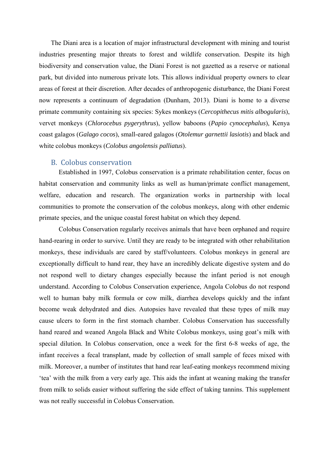The Diani area is a location of major infrastructural development with mining and tourist industries presenting major threats to forest and wildlife conservation. Despite its high biodiversity and conservation value, the Diani Forest is not gazetted as a reserve or national park, but divided into numerous private lots. This allows individual property owners to clear areas of forest at their discretion. After decades of anthropogenic disturbance, the Diani Forest now represents a continuum of degradation (Dunham, 2013). Diani is home to a diverse primate community containing six species: Sykes monkeys (*Cercopithecus mitis albogularis*), vervet monkeys (*Chlorocebus pygerythrus*), yellow baboons (*Papio cynocephalus*), Kenya coast galagos (*Galago cocos*), small-eared galagos (*Otolemur garnettii lasiotis*) and black and white colobus monkeys (*Colobus angolensis palliatus*).

### B. Colobus conservation

Established in 1997, Colobus conservation is a primate rehabilitation center, focus on habitat conservation and community links as well as human/primate conflict management, welfare, education and research. The organization works in partnership with local communities to promote the conservation of the colobus monkeys, along with other endemic primate species, and the unique coastal forest habitat on which they depend.

Colobus Conservation regularly receives animals that have been orphaned and require hand-rearing in order to survive. Until they are ready to be integrated with other rehabilitation monkeys, these individuals are cared by staff/volunteers. Colobus monkeys in general are exceptionally difficult to hand rear, they have an incredibly delicate digestive system and do not respond well to dietary changes especially because the infant period is not enough understand. According to Colobus Conservation experience, Angola Colobus do not respond well to human baby milk formula or cow milk, diarrhea develops quickly and the infant become weak dehydrated and dies. Autopsies have revealed that these types of milk may cause ulcers to form in the first stomach chamber. Colobus Conservation has successfully hand reared and weaned Angola Black and White Colobus monkeys, using goat's milk with special dilution. In Colobus conservation, once a week for the first 6-8 weeks of age, the infant receives a fecal transplant, made by collection of small sample of feces mixed with milk. Moreover, a number of institutes that hand rear leaf-eating monkeys recommend mixing 'tea' with the milk from a very early age. This aids the infant at weaning making the transfer from milk to solids easier without suffering the side effect of taking tannins. This supplement was not really successful in Colobus Conservation.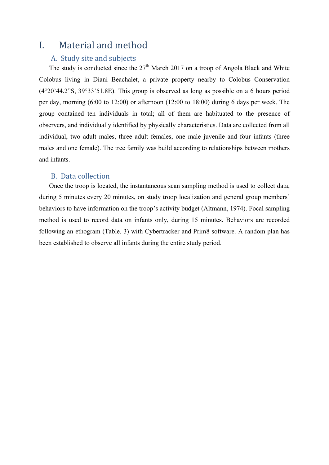# I. Material and method

## A. Study site and subjects

The study is conducted since the  $27<sup>th</sup>$  March 2017 on a troop of Angola Black and White Colobus living in Diani Beachalet, a private property nearby to Colobus Conservation (4°20'44.2"S, 39°33'51.8E). This group is observed as long as possible on a 6 hours period per day, morning (6:00 to 12:00) or afternoon (12:00 to 18:00) during 6 days per week. The group contained ten individuals in total; all of them are habituated to the presence of observers, and individually identified by physically characteristics. Data are collected from all individual, two adult males, three adult females, one male juvenile and four infants (three males and one female). The tree family was build according to relationships between mothers and infants.

### B. Data collection

Once the troop is located, the instantaneous scan sampling method is used to collect data, during 5 minutes every 20 minutes, on study troop localization and general group members' behaviors to have information on the troop's activity budget (Altmann, 1974). Focal sampling method is used to record data on infants only, during 15 minutes. Behaviors are recorded following an ethogram (Table. 3) with Cybertracker and Prim8 software. A random plan has been established to observe all infants during the entire study period.